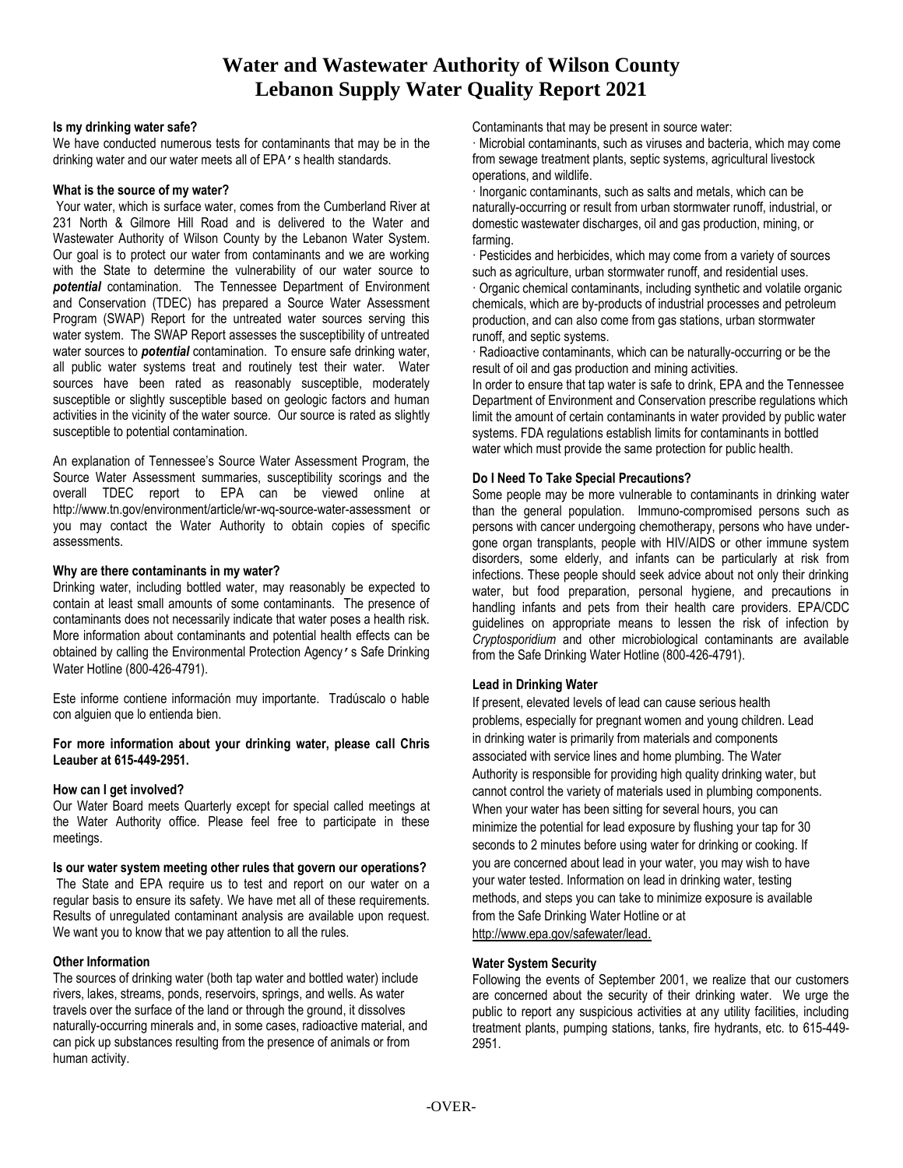# **Water and Wastewater Authority of Wilson County Lebanon Supply Water Quality Report 2021**

#### **Is my drinking water safe?**

We have conducted numerous tests for contaminants that may be in the drinking water and our water meets all of EPA's health standards.

#### **What is the source of my water?**

Your water, which is surface water, comes from the Cumberland River at 231 North & Gilmore Hill Road and is delivered to the Water and Wastewater Authority of Wilson County by the Lebanon Water System. Our goal is to protect our water from contaminants and we are working with the State to determine the vulnerability of our water source to *potential* contamination. The Tennessee Department of Environment and Conservation (TDEC) has prepared a Source Water Assessment Program (SWAP) Report for the untreated water sources serving this water system. The SWAP Report assesses the susceptibility of untreated water sources to *potential* contamination. To ensure safe drinking water, all public water systems treat and routinely test their water. Water sources have been rated as reasonably susceptible, moderately susceptible or slightly susceptible based on geologic factors and human activities in the vicinity of the water source. Our source is rated as slightly susceptible to potential contamination.

An explanation of Tennessee's Source Water Assessment Program, the Source Water Assessment summaries, susceptibility scorings and the overall TDEC report to EPA can be viewed online at http://www.tn.gov/environment/article/wr-wq-source-water-assessment or you may contact the Water Authority to obtain copies of specific assessments.

## **Why are there contaminants in my water?**

Drinking water, including bottled water, may reasonably be expected to contain at least small amounts of some contaminants. The presence of contaminants does not necessarily indicate that water poses a health risk. More information about contaminants and potential health effects can be obtained by calling the Environmental Protection Agency's Safe Drinking Water Hotline (800-426-4791).

Este informe contiene información muy importante. Tradúscalo o hable con alguien que lo entienda bien.

## **For more information about your drinking water, please call Chris Leauber at 615-449-2951.**

## **How can I get involved?**

Our Water Board meets Quarterly except for special called meetings at the Water Authority office. Please feel free to participate in these meetings.

#### **Is our water system meeting other rules that govern our operations?**

The State and EPA require us to test and report on our water on a regular basis to ensure its safety. We have met all of these requirements. Results of unregulated contaminant analysis are available upon request. We want you to know that we pay attention to all the rules.

## **Other Information**

The sources of drinking water (both tap water and bottled water) include rivers, lakes, streams, ponds, reservoirs, springs, and wells. As water travels over the surface of the land or through the ground, it dissolves naturally-occurring minerals and, in some cases, radioactive material, and can pick up substances resulting from the presence of animals or from human activity.

Contaminants that may be present in source water:

· Microbial contaminants, such as viruses and bacteria, which may come from sewage treatment plants, septic systems, agricultural livestock operations, and wildlife.

· Inorganic contaminants, such as salts and metals, which can be naturally-occurring or result from urban stormwater runoff, industrial, or domestic wastewater discharges, oil and gas production, mining, or farming.

· Pesticides and herbicides, which may come from a variety of sources such as agriculture, urban stormwater runoff, and residential uses.

· Organic chemical contaminants, including synthetic and volatile organic chemicals, which are by-products of industrial processes and petroleum production, and can also come from gas stations, urban stormwater runoff, and septic systems.

· Radioactive contaminants, which can be naturally-occurring or be the result of oil and gas production and mining activities.

In order to ensure that tap water is safe to drink, EPA and the Tennessee Department of Environment and Conservation prescribe regulations which limit the amount of certain contaminants in water provided by public water systems. FDA regulations establish limits for contaminants in bottled water which must provide the same protection for public health.

## **Do I Need To Take Special Precautions?**

Some people may be more vulnerable to contaminants in drinking water than the general population. Immuno-compromised persons such as persons with cancer undergoing chemotherapy, persons who have undergone organ transplants, people with HIV/AIDS or other immune system disorders, some elderly, and infants can be particularly at risk from infections. These people should seek advice about not only their drinking water, but food preparation, personal hygiene, and precautions in handling infants and pets from their health care providers. EPA/CDC guidelines on appropriate means to lessen the risk of infection by *Cryptosporidium* and other microbiological contaminants are available from the Safe Drinking Water Hotline (800-426-4791).

## **Lead in Drinking Water**

If present, elevated levels of lead can cause serious health problems, especially for pregnant women and young children. Lead in drinking water is primarily from materials and components associated with service lines and home plumbing. The Water Authority is responsible for providing high quality drinking water, but cannot control the variety of materials used in plumbing components. When your water has been sitting for several hours, you can minimize the potential for lead exposure by flushing your tap for 30 seconds to 2 minutes before using water for drinking or cooking. If you are concerned about lead in your water, you may wish to have your water tested. Information on lead in drinking water, testing methods, and steps you can take to minimize exposure is available from the Safe Drinking Water Hotline or at [http://www.epa.gov/safewater/lead.](http://www.epa.gov/safewater/lead)

## **Water System Security**

Following the events of September 2001, we realize that our customers are concerned about the security of their drinking water. We urge the public to report any suspicious activities at any utility facilities, including treatment plants, pumping stations, tanks, fire hydrants, etc. to 615-449- 2951.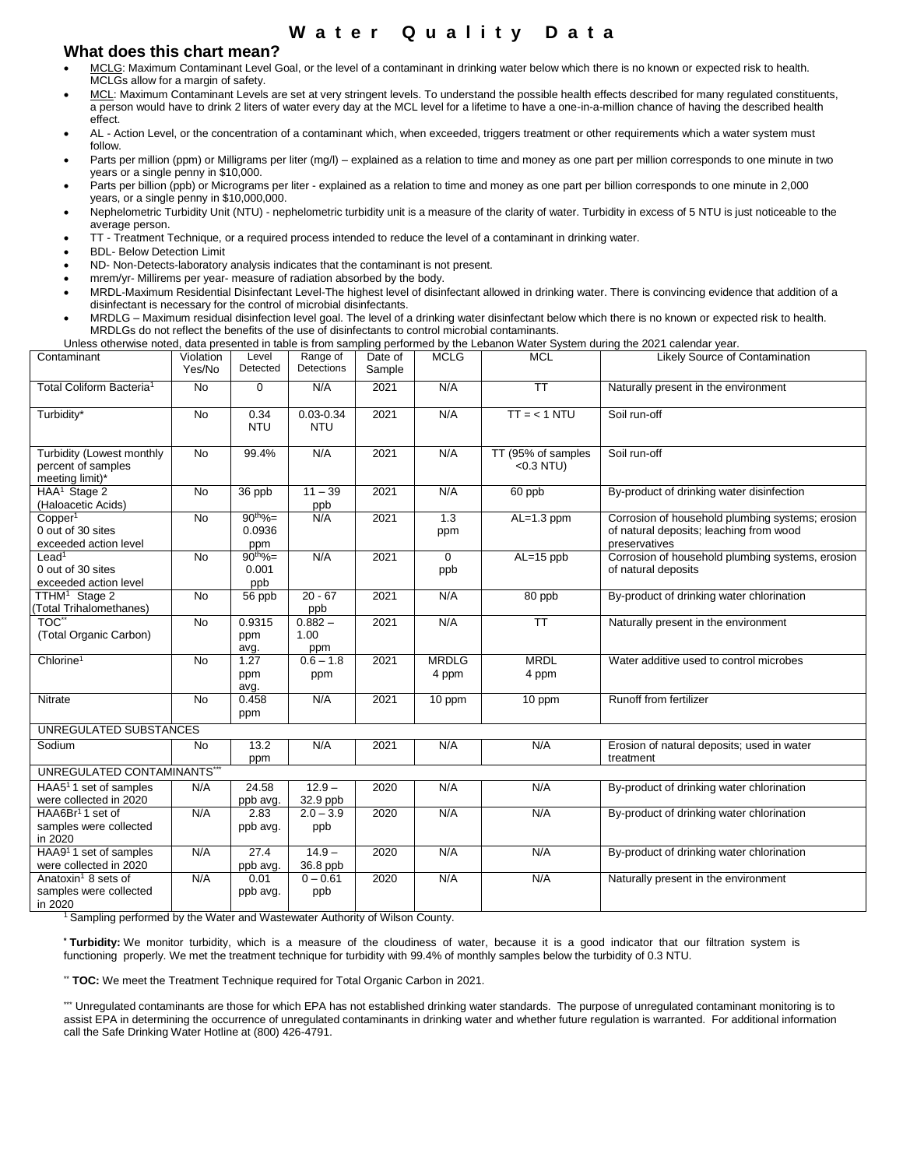# **W a t e r Q u a l i t y D a t a**

# **What does this chart mean?**

- MCLG: Maximum Contaminant Level Goal, or the level of a contaminant in drinking water below which there is no known or expected risk to health. MCLGs allow for a margin of safety.
- MCL: Maximum Contaminant Levels are set at very stringent levels. To understand the possible health effects described for many regulated constituents, a person would have to drink 2 liters of water every day at the MCL level for a lifetime to have a one-in-a-million chance of having the described health effect.
- AL Action Level, or the concentration of a contaminant which, when exceeded, triggers treatment or other requirements which a water system must follow.
- Parts per million (ppm) or Milligrams per liter (mg/l) explained as a relation to time and money as one part per million corresponds to one minute in two years or a single penny in \$10,000.
- Parts per billion (ppb) or Micrograms per liter explained as a relation to time and money as one part per billion corresponds to one minute in 2,000 years, or a single penny in \$10,000,000.
- Nephelometric Turbidity Unit (NTU) nephelometric turbidity unit is a measure of the clarity of water. Turbidity in excess of 5 NTU is just noticeable to the average person.
- TT Treatment Technique, or a required process intended to reduce the level of a contaminant in drinking water.
- BDL- Below Detection Limit
- ND- Non-Detects-laboratory analysis indicates that the contaminant is not present.
- mrem/yr- Millirems per year- measure of radiation absorbed by the body.
- MRDL-Maximum Residential Disinfectant Level-The highest level of disinfectant allowed in drinking water. There is convincing evidence that addition of a disinfectant is necessary for the control of microbial disinfectants.
- MRDLG Maximum residual disinfection level goal. The level of a drinking water disinfectant below which there is no known or expected risk to health. MRDLGs do not reflect the benefits of the use of disinfectants to control microbial contaminants.

Unless otherwise noted, data presented in table is from sampling performed by the Lebanon Water System during the 2021 calendar year.

| Contaminant                                                          | Violation<br>Yes/No | Level<br>Detected              | Range of<br>Detections      | Date of<br>Sample | <b>MCLG</b>           | <b>MCL</b>                        | Likely Source of Contamination                                                                               |
|----------------------------------------------------------------------|---------------------|--------------------------------|-----------------------------|-------------------|-----------------------|-----------------------------------|--------------------------------------------------------------------------------------------------------------|
| Total Coliform Bacteria <sup>1</sup>                                 | <b>No</b>           | $\Omega$                       | N/A                         | 2021              | N/A                   | $\overline{\text{TT}}$            | Naturally present in the environment                                                                         |
| Turbidity*                                                           | <b>No</b>           | 0.34<br><b>NTU</b>             | $0.03 - 0.34$<br><b>NTU</b> | 2021              | N/A                   | $TT = < 1 NTU$                    | Soil run-off                                                                                                 |
| Turbidity (Lowest monthly<br>percent of samples<br>meeting limit)*   | <b>No</b>           | 99.4%                          | N/A                         | 2021              | N/A                   | TT (95% of samples<br>$<0.3$ NTU) | Soil run-off                                                                                                 |
| HAA <sup>1</sup> Stage 2<br>(Haloacetic Acids)                       | <b>No</b>           | 36 ppb                         | $11 - 39$<br>ppb            | 2021              | N/A                   | 60 ppb                            | By-product of drinking water disinfection                                                                    |
| Copper <sup>1</sup><br>0 out of 30 sites<br>exceeded action level    | <b>No</b>           | $90^{th}\% =$<br>0.0936<br>ppm | N/A                         | 2021              | 1.3<br>ppm            | $AL=1.3$ ppm                      | Corrosion of household plumbing systems; erosion<br>of natural deposits; leaching from wood<br>preservatives |
| $L$ ead <sup>1</sup><br>0 out of 30 sites<br>exceeded action level   | <b>No</b>           | $90^{th}\%$<br>0.001<br>ppb    | N/A                         | 2021              | $\Omega$<br>ppb       | $AL=15$ ppb                       | Corrosion of household plumbing systems, erosion<br>of natural deposits                                      |
| TTHM <sup>1</sup> Stage 2<br>(Total Trihalomethanes)                 | <b>No</b>           | 56 ppb                         | $20 - 67$<br>ppb            | 2021              | N/A                   | 80 ppb                            | By-product of drinking water chlorination                                                                    |
| TOC**<br>(Total Organic Carbon)                                      | <b>No</b>           | 0.9315<br>ppm<br>avg.          | $0.882 -$<br>1.00<br>ppm    | 2021              | N/A                   | $\overline{\mathsf{TT}}$          | Naturally present in the environment                                                                         |
| Chlorine <sup>1</sup>                                                | <b>No</b>           | 1.27<br>ppm<br>avg.            | $0.6 - 1.8$<br>ppm          | 2021              | <b>MRDLG</b><br>4 ppm | <b>MRDL</b><br>4 ppm              | Water additive used to control microbes                                                                      |
| Nitrate                                                              | <b>No</b>           | 0.458<br>ppm                   | N/A                         | 2021              | 10 ppm                | 10 ppm                            | Runoff from fertilizer                                                                                       |
| UNREGULATED SUBSTANCES                                               |                     |                                |                             |                   |                       |                                   |                                                                                                              |
| Sodium                                                               | <b>No</b>           | 13.2<br>ppm                    | N/A                         | 2021              | N/A                   | N/A                               | Erosion of natural deposits; used in water<br>treatment                                                      |
| UNREGULATED CONTAMINANTS*                                            |                     |                                |                             |                   |                       |                                   |                                                                                                              |
| HAA5 <sup>1</sup> 1 set of samples<br>were collected in 2020         | N/A                 | 24.58<br>ppb avg.              | $12.9 -$<br>32.9 ppb        | 2020              | N/A                   | N/A                               | By-product of drinking water chlorination                                                                    |
| HAA6Br <sup>1</sup> 1 set of<br>samples were collected<br>in 2020    | N/A                 | 2.83<br>ppb avg.               | $2.0 - 3.9$<br>ppb          | 2020              | N/A                   | N/A                               | By-product of drinking water chlorination                                                                    |
| HAA9 <sup>1</sup> 1 set of samples<br>were collected in 2020         | N/A                 | 27.4<br>ppb avg.               | $14.9 -$<br>36.8 ppb        | 2020              | N/A                   | N/A                               | By-product of drinking water chlorination                                                                    |
| Anatoxin <sup>1</sup> 8 sets of<br>samples were collected<br>in 2020 | N/A                 | 0.01<br>ppb avg.               | $0 - 0.61$<br>ppb           | 2020              | N/A                   | N/A                               | Naturally present in the environment                                                                         |

<sup>1</sup> Sampling performed by the Water and Wastewater Authority of Wilson County.

**\* Turbidity:** We monitor turbidity, which is a measure of the cloudiness of water, because it is a good indicator that our filtration system is functioning properly. We met the treatment technique for turbidity with 99.4% of monthly samples below the turbidity of 0.3 NTU.

\*\* **TOC:** We meet the Treatment Technique required for Total Organic Carbon in 2021.

\*\*\* Unregulated contaminants are those for which EPA has not established drinking water standards. The purpose of unregulated contaminant monitoring is to assist EPA in determining the occurrence of unregulated contaminants in drinking water and whether future regulation is warranted. For additional information call the Safe Drinking Water Hotline at (800) 426-4791.